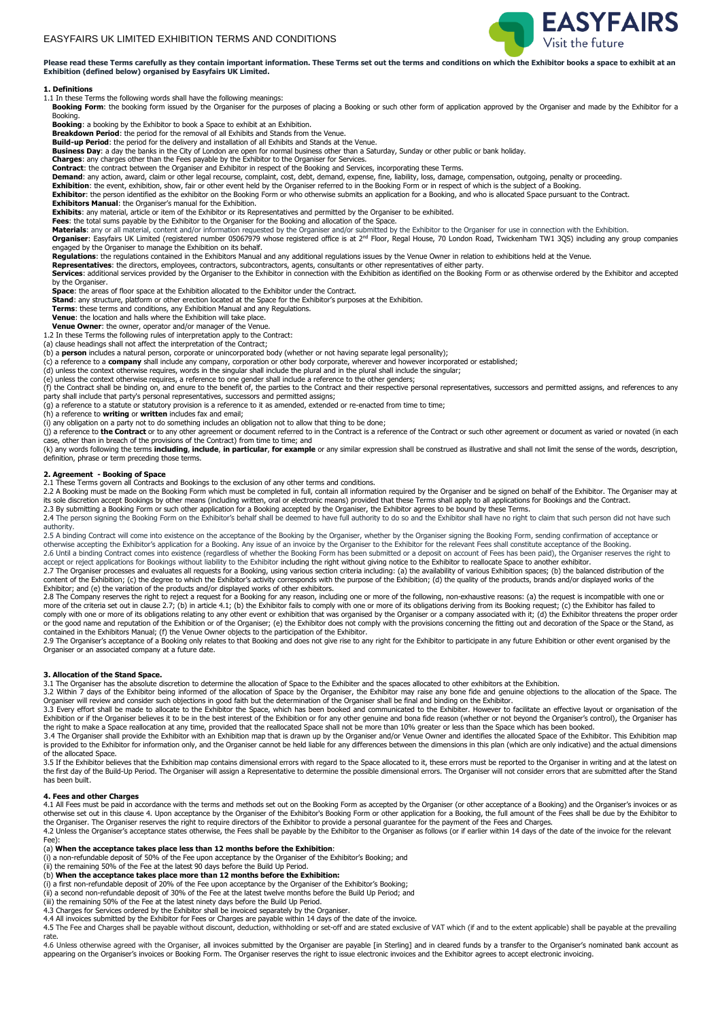

Please read these Terms carefully as they contain important information. These Terms set out the terms and conditions on which the Exhibitor books a space to exhibit at an **Exhibition (defined below) organised by Easyfairs UK Limited.** 

#### **1. Definitions**

1.1 In these Terms the following words shall have the following meanings:

Booking Form: the booking form issued by the Organiser for the purposes of placing a Booking or such other form of application approved by the Organiser and made by the Exhibitor for a Booking.

**Booking**: a booking by the Exhibitor to book a Space to exhibit at an Exhibition. **Breakdown Period**: the period for the removal of all Exhibits and Stands from the Venue.

**Build-up Period**: the period for the delivery and installation of all Exhibits and Stands at the Venue.

**Business Day**: a day the banks in the City of London are open for normal business other than a Saturday, Sunday or other public or bank holiday.

**Charges**: any charges other than the Fees payable by the Exhibitor to the Organiser for Services.<br>**Contract:** the contract between the Organiser and Exhibitor in respect of the Booking and Services, incorporating these Te

**Exhibition**: the event, exhibition, show, fair or other event held by the Organiser referred to in the Booking Form or in respect of which is the subject of a Booking.<br>**Exhibitor**: the person identified as the exhibitor o **Exhibitors Manual**: the Organiser's manual for the Exhibition.

Exhibits: any material, article or item of the Exhibitor or its Representatives and permitted by the Organiser to be exhibited.<br>Fees: the total sums payable by the Exhibitor to the Organiser for the Booking and allocation

Materials: any or all material, content and/or information requested by the Organiser and/or submitted by the Exhibitor to the Organiser for use in connection with the Exhibition.<br>Organiser: Easyfairs UK Limited (registere engaged by the Organiser to manage the Exhibition on its behalf.

**Regulations**: the regulations contained in the Exhibitors Manual and any additional regulations issues by the Venue Owner in relation to exhibitions held at the Venue.

**Representatives**: the directors, employees, contractors, subcontractors, agents, consultants or other representatives of either party.<br>**Services**: additional services provided by the Organiser to the Exhibitor in connecti by the Organiser.

**Space**: the areas of floor space at the Exhibition allocated to the Exhibitor under the Contract.<br>**Stand**: any structure, platform or other erection located at the Space for the Exhibitor's purposes at the Exhibition.

**Terms**: these terms and conditions, any Exhibition Manual and any Regulations.

**Venue**: the location and halls where the Exhibition will take place. **Venue Owner**: the owner, operator and/or manager of the Venue.

1.2 In these Terms the following rules of interpretation apply to the Contract: (a) clause headings shall not affect the interpretation of the Contract;

(b) a **person** includes a natural person, corporate or unincorporated body (whether or not having separate legal personality);

(c) a reference to a **company** shall include any company, corporation or other body corporate, wherever and however incorporated or established;<br>(d) unless the context otherwise requires, words in the singular shall includ

(e) unless the context otherwise requires, a reference to one gender shall include a reference to the other genders;<br>(f) the Contract shall be binding on, and enure to the benefit of, the parties to the Contract and their

party shall include that party's personal representatives, successors and permitted assigns; (g) a reference to a statute or statutory provision is a reference to it as amended, extended or re-enacted from time to time;

(h) a reference to **writing** or **written** includes fax and email;

(i) any obligation on a party not to do something includes an obligation not to allow that thing to be done;<br>(j) a reference to **the Contract** or to any other agreement or document referred to in the Contract of the Contra case, other than in breach of the provisions of the Contract) from time to time; and

(k) any words following the terms **including, include, in particular, for example** or any similar expression shall be construed as illustrative and shall not limit the sense of the words, description,<br>definition, phrase or

# **2. Agreement - Booking of Space**

2.1 These Terms govern all Contracts and Bookings to the exclusion of any other terms and conditions.

2.2 A Booking must be made on the Booking Form which must be completed in full, contain all information required by the Organiser and be signed on behalf of the Exhibitor. The Organiser may at its sole discretion accept Bookings by other means (including written, oral or electronic means) provided that these Terms shall apply to all applications for Bookings and the Contract.<br>2.3 By submitting a Booking Form or

2.4 The person signing the Booking Form on the Exhibitor's behalf shall be deemed to have full authority to do so and the Exhibitor shall have no right to claim that such person did not have such authority.

2.5 A binding Contract will come into existence on the acceptance of the Booking by the Organiser, whether by the Organiser signing the Booking Form, sending confirmation of acceptance or<br>otherwise accepting the Exhibitor' 2.6 Until a binding Contract comes into existence (regardless of whether the Booking Form has been submitted or a deposit on account of Fees has been paid), the Organiser reserves the right to

accept or reject applications for Bookings without liability to the Exhibitor including the right without giving notice to the Exhibitor to reallocate Space to another exhibitor.<br>2.7 The Organiser processes and evaluates a

content of the Exhibition; (c) the degree to which the Exhibitor's activity corresponds with the purpose of the Exhibition; (d) the quality of the products, brands and/or displayed works of the<br>Exhibitor; and (e) the varia

2.8 The Company reserves the right to reject a request for a Booking for any reason, including one or more of the following, non-exhaustive reasons: (a) the request is incompatible with one or more of the criteria set out

2.9 The Organiser's acceptance of a Booking only relates to that Booking and does not give rise to any right for the Exhibitor to participate in any future Exhibition or other event organised by the<br>Organiser or an associa

# **3. Allocation of the Stand Space.**

3.1 The Organiser has the absolute discretion to determine the allocation of Space to the Exhibiter and the spaces allocated to other exhibitors at the Exhibition.

3.2 Within 7 days of the Exhibitor being informed of the allocation of Space by the Organiser, the Exhibitor may raise any bone fide and genuine objections to the allocation of the Space. The

Organiser will review and consider such objections in good faith but the determination of the Organiser shall be final and binding on the Exhibitor.<br>3.3 Every effort shall be made to allocate to the Exhibitor the Space, wh

3.4 The Organiser shall provide the Exhibitor with an Exhibition map that is drawn up by the Organiser and/or Venue Owner and identifies the allocated Space of the Exhibitor. This Exhibition map<br>is provided to the Exhibito of the allocated Space.

3.5 If the Exhibitor believes that the Exhibition map contains dimensional errors with regard to the Space allocated to it, these errors must be reported to the Organiser in writing and at the latest on<br>the first day of th has been built.

### **4. Fees and other Charges**

4.1 All Fees must be paid in accordance with the terms and methods set out on the Booking Form as accepted by the Organiser (or other acceptance of a Booking) and the Organiser's invoices or as otherwise set out in this clause 4. Upon acceptance by the Organiser of the Exhibitor's Booking Form or other application for a Booking, the full amount of the Fees shall be due by the Exhibitor to<br>the Organiser. The Organ

4.2 Unless the Organiser's acceptance states otherwise, the Fees shall be payable by the Exhibitor to the Organiser as follows (or if earlier within 14 days of the date of the invoice for the relevant Fee):

(a) **When the acceptance takes place less than 12 months before the Exhibition**:

(i) a non-refundable deposit of 50% of the Fee upon acceptance by the Organiser of the Exhibitor's Booking; and (ii) the remaining 50% of the Fee at the latest 90 days before the Build Up Period.

(b) **When the acceptance takes place more than 12 months before the Exhibition:** (i) a first non-refundable deposit of 20% of the Fee upon acceptance by the Organiser of the Exhibitor's Booking;

(ii) a second non-refundable deposit of 30% of the Fee at the latest twelve months before the Build Up Period; and

(iii) the remaining 50% of the Fee at the latest ninety days before the Build Up Period. 4.3 Charges for Services ordered by the Exhibitor shall be invoiced separately by the Organiser.

4.4 All invoices submitted by the Exhibitor for Fees or Charges are payable within 14 days of the date of the invoice.

4.5 The Fee and Charges shall be payable without discount, deduction, withholding or set-off and are stated exclusive of VAT which (if and to the extent applicable) shall be payable at the prevailing rate.

4.6 Unless otherwise agreed with the Organiser, all invoices submitted by the Organiser are payable [in Sterling] and in cleared funds by a transfer to the Organiser's nominated bank account as appearing on the Organiser's invoices or Booking Form. The Organiser reserves the right to issue electronic invoices and the Exhibitor agrees to accept electronic invoicing.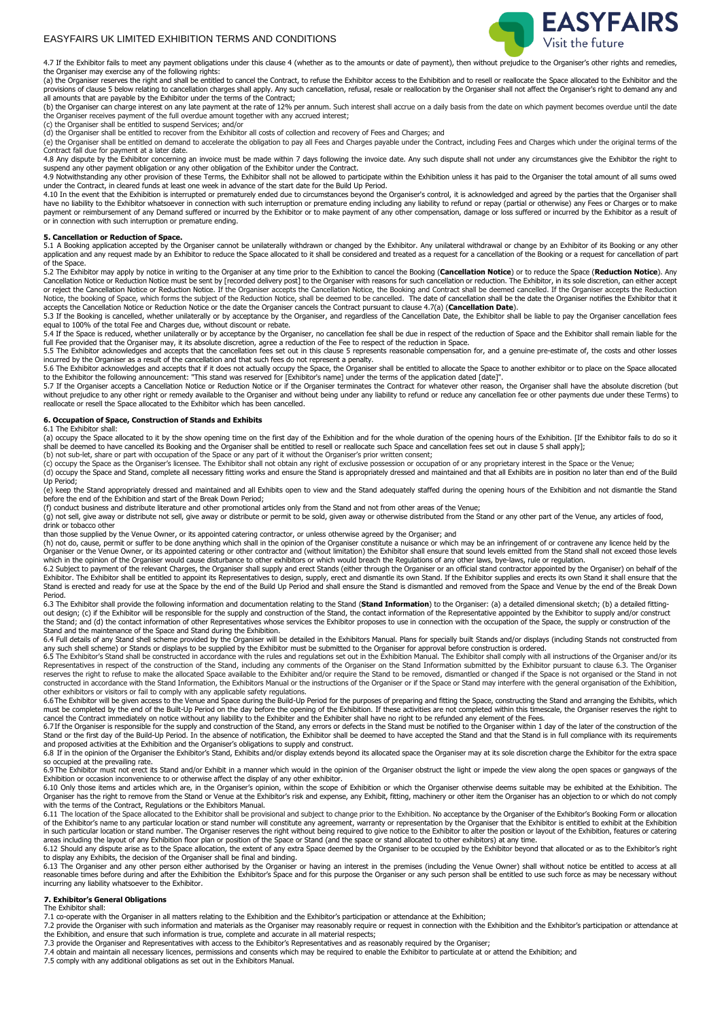

4.7 If the Exhibitor fails to meet any payment obligations under this clause 4 (whether as to the amounts or date of payment), then without prejudice to the Organiser's other rights and remedies,<br>the Organiser may exercise

(a) the Organiser reserves the right and shall be entitled to cancel the Contract, to refuse the Exhibitor access to the Exhibition and to resell or reallocate the Space allocated to the Exhibitor and the<br>provisions of cla all amounts that are payable by the Exhibitor under the terms of the Contract;

(b) the Organiser can charge interest on any late payment at the rate of 12% per annum. Such interest shall accrue on a daily basis from the date on which payment becomes overdue until the date<br>the Organiser receives payme

(c) the Organiser shall be entitled to suspend Services; and/or

(d) the Organiser shall be entitled to recover from the Exhibitor all costs of collection and recovery of Fees and Charges; and<br>(e) the Organiser shall be entitled on demand to accelerate the obligation to pay all Fees and Contract fall due for payment at a later date.

4.8 Any dispute by the Exhibitor concerning an invoice must be made within 7 days following the invoice date. Any such dispute shall not under any circumstances give the Exhibitor the right to suspend any other payment obligation or any other obligation of the Exhibitor under the Contract.<br>4.9 Notwithstanding any other provision of these Terms, the Exhibitor shall not be allowed to participate within the Exhibit

under the Contract, in cleared funds at least one week in advance of the start date for the Build Up Period.<br>4.10 In the event that the Exhibition is interrupted or prematurely ended due to circumstances beyond the Organis

have no liability to the Exhibitor whatsoever in connection with such interruption or premature ending including any liability to refund or repay (partial or otherwise) any Fees or Charges or to make payment or reimbursement of any Demand suffered or incurred by the Exhibitor or to make payment of any other compensation, damage or loss suffered or incurred by the Exhibitor as a result of<br>or in connection with such inte

#### **5. Cancellation or Reduction of Space.**

5.1 A Booking application accepted by the Organiser cannot be unilaterally withdrawn or changed by the Exhibitor. Any unilateral withdrawal or change by an Exhibitor of its Booking or any other<br>application and any request of the Space.

5.2 The Exhibitor may apply by notice in writing to the Organiser at any time prior to the Exhibition to cancel the Booking (**Cancellation Notice**) or to reduce the Space (**Reduction Notice**). Any Cancellation Notice or Reduction Notice must be sent by [recorded delivery post] to the Organiser with reasons for such cancellation or reduction. The Exhibitor, in its sole discretion, can either accept<br>or reject the Canc Notice, the booking of Space, which forms the subject of the Reduction Notice, shall be deemed to be cancelled. The date of cancellation shall be the date the Organiser notifies the Exhibitor that it<br>accepts the Cancellati

equal to 100% of the total Fee and Charges due, without discount or rebate.<br>5.4 If the Space is reduced, whether unilaterally or by acceptance by the Organiser, no cancellation fee shall be due in respect of the reduction full Fee provided that the Organiser may, it its absolute discretion, agree a reduction of the Fee to respect of the reduction in Space.

5.5 The Exhibitor acknowledges and accepts that the cancellation fees set out in this clause 5 represents reasonable compensation for, and a genuine pre-estimate of, the costs and other losses incurred by the Organiser as a result of the cancellation and that such fees do not represent a penalty.

5.6 The Exhibitor acknowledges and accepts that if it does not actually occupy the Space, the Organiser shall be entitled to allocate the Space to another exhibitor or to place on the Space allocated<br>to the Exhibitor the f

reallocate or resell the Space allocated to the Exhibitor which has been cancelled.

#### **6. Occupation of Space, Construction of Stands and Exhibits** 6.1 The Exhibitor shall:

(a) occupy the Space allocated to it by the show opening time on the first day of the Exhibition and for the whole duration of the opening hours of the Exhibition. [If the Exhibitor fails to do so it shall be deemed to have cancelled its Booking and the Organiser shall be entitled to resell or reallocate such Space and cancellation fees set out in clause 5 shall apply];<br>(b) not sub-let, share or part with occupation of

(c) occupy the Space as the Organiser's licensee. The Exhibitor shall not obtain any right of exclusive possession or occupation of or any proprietary interest in the Space or the Venue;<br>(d) occupy the Space and Stand, com Up Period;

(e) keep the Stand appropriately dressed and maintained and all Exhibits open to view and the Stand adequately staffed during the opening hours of the Exhibition and not dismantle the Stand<br>before the end of the Exhibition

(f) conduct business and distribute literature and other promotional articles only from the Stand and not from other areas of the Venue; (g) not sell, give away or distribute not sell, give away or distribute or permit to be sold, given away or otherwise distributed from the Stand or any other part of the Venue, any articles of food, drink or tobacco other

than those supplied by the Venue Owner, or its appointed catering contractor, or unless otherwise agreed by the Organiser; and

(h) not do, cause, permit or suffer to be done anything which shall in the opinion of the Organiser constitute a nuisance or which may be an infringement of or contravene any licence held by the<br>Organiser or the Venue Owne which in the opinion of the Organiser would cause disturbance to other exhibitors or which would breach the Regulations of any other laws, bye-laws, rule or regulation.

6.2 Subject to payment of the relevant Charges, the Organiser shall supply and erect Stands (either through the Organiser or an official stand contractor appointed by the Organiser) on behalf of the<br>Exhibitor. The Exhibito Stand is erected and ready for use at the Space by the end of the Build Up Period and shall ensure the Stand is dismantled and removed from the Space and Venue by the end of the Break Down Period.

6.3 The Exhibitor shall provide the following information and documentation relating to the Stand (**Stand Information**) to the Organiser: (a) a detailed dimensional sketch; (b) a detailed fittingout design; (c) if the Exhibitor will be responsible for the supply and construction of the Stand, the contact information of the Representative appointed by the Exhibitor to supply and/or construct<br>the Stand; and (d) the Stand and the maintenance of the Space and Stand during the Exhibition.<br>6.4 Full details of any Stand shell scheme provided by the Organiser will be detailed in the Exhibitors Manual. Plans for specially built Stands and/o

any such shell scheme) or Stands or displays to be supplied by the Exhibitor must be submitted to the Organiser for approval before construction is ordered.<br>6.5 The Exhibitor's Stand shall be constructed in accordance with reserves the right to refuse to make the allocated Space available to the Exhibiter and/or require the Stand to be removed, dismantled or changed if the Space is not organised or the Stand in not<br>constructed in accordance other exhibitors or visitors or fail to comply with any applicable safety regulations.

6.6The Exhibitor will be given access to the Venue and Space during the Build-Up Period for the purposes of preparing and fitting the Space, constructing the Stand and arranging the Exhibits, which<br>must be completed by the

cancel the Contract immediately on notice without any liability to the Exhibiter and the Exhibiter shall have no right to be refunded any element of the Fees.<br>6.7If the Organiser is responsible for the supply and construct Stand or the first day of the Build-Up Period. In the absence of notification, the Exhibitor shall be deemed to have accepted the Stand and that the Stand is in full compliance with its requirements<br>and proposed activities

6.8 If in the opinion of the Organiser the Exhibitor's Stand, Exhibits and/or display extends beyond its allocated space the Organiser may at its sole discretion charge the Exhibitor for the extra space so occupied at the prevailing rate.

6.9The Exhibitor must not erect its Stand and/or Exhibit in a manner which would in the opinion of the Organiser obstruct the light or impede the view along the open spaces or gangways of the Exhibition or occasion inconvenience to or otherwise affect the display of any other exhibitor.

6.10 Only those items and articles which are, in the Organiser's opinion, within the scope of Exhibition or which the Organiser otherwise deems suitable may be exhibited at the Exhibition. The Organiser has the right to remove from the Stand or Venue at the Exhibitor's risk and expense, any Exhibit, fitting, machinery or other item the Organiser has an objection to or which do not comply with the terms of the Contract, Regulations or the Exhibitors Manual.

6.11 The location of the Space allocated to the Exhibitor shall be provisional and subject to change prior to the Exhibition. No acceptance by the Organiser of the Exhibitor's Booking Form or allocation of the Exhibitor's name to any particular location or stand number will constitute any agreement, warranty or representation by the Organiser that the Exhibitor is entitled to exhibit at the Exhibition (eatures or catering areas including the layout of any Exhibition floor plan or position of the Space or Stand (and the space or stand allocated to other exhibitors) at any time.

6.12 Should any dispute arise as to the Space allocation, the extent of any extra Space deemed by the Organiser to be occupied by the Exhibitor beyond that allocated or as to the Exhibitor's right

to display any Exhibits, the decision of the Organiser shall be final and binding.<br>6.13 The Organiser and any other person either state of general enterpolations (including the Venue Owner) shall without notice be entitled incurring any liability whatsoever to the Exhibitor.

#### **7. Exhibitor's General Obligations**

The Exhibitor shall:

7.1 co-operate with the Organiser in all matters relating to the Exhibition and the Exhibitor's participation or attendance at the Exhibition;

7.2 provide the Organiser with such information and materials as the Organiser may reasonably require or request in connection with the Exhibition and the Exhibitor's participation or attendance at<br>the Exhibition, and ensu

7.3 provide the Organiser and Representatives with access to the Exhibitor's Representatives and as reasonably required by the Organiser;<br>7.4 obtain and maintain all necessary licences, permissions and consents which may b

7.5 comply with any additional obligations as set out in the Exhibitors Manual.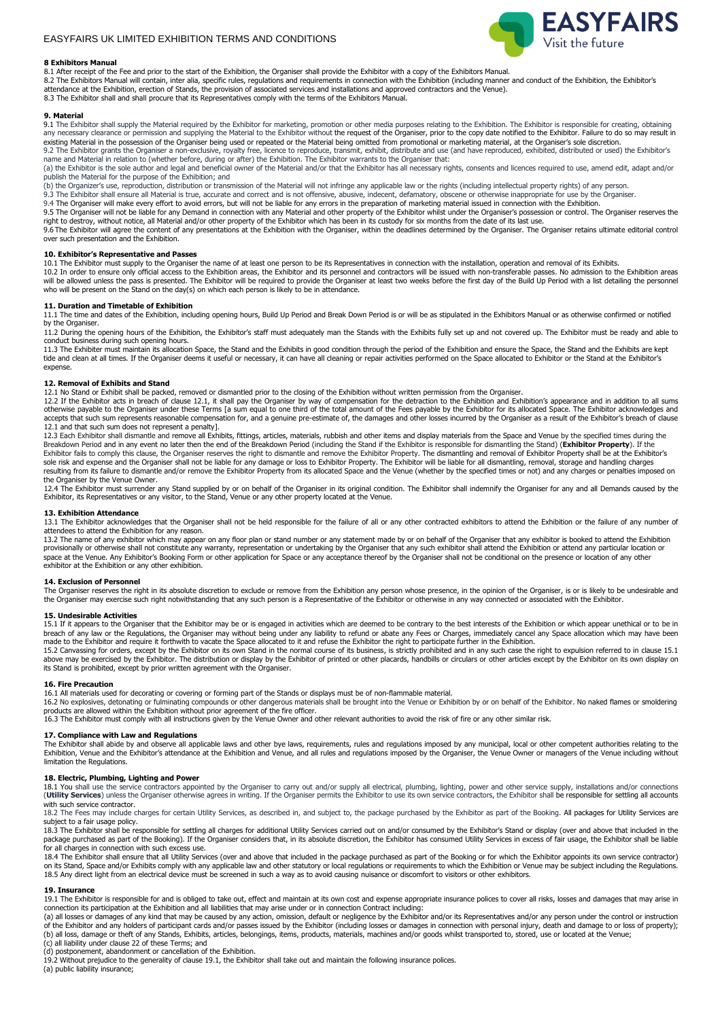

#### **8 Exhibitors Manual**

8.1 After receipt of the Fee and prior to the start of the Exhibition, the Organiser shall provide the Exhibitor with a copy of the Exhibitors Manual.

8.2 The Exhibitors Manual will contain, inter alia, specific rules, regulations and requirements in connection with the Exhibition (including manner and conduct of the Exhibition, the Exhibitior's<br>attendance at the Exhibit 8.3 The Exhibitor shall and shall procure that its Representatives comply with the terms of the Exhibitors Manual.

#### **9. Material**

9.1 The Exhibitor shall supply the Material required by the Exhibitor for marketing, promotion or other media purposes relating to the Exhibition. The Exhibitor is responsible for creating, obtaining<br>any necessary clearanc existing Material in the possession of the Organiser being used or repeated or the Material being omitted from promotional or marketing material, at the Organiser's sole discretion.<br>9.2 The Exhibitor grants the Organiser a

(a) the Exhibitor is the sole author and legal and beneficial owner of the Material and/or that the Exhibitor has all necessary rights, consents and licences required to use, amend edit, adapt and/or<br>publish the Material f

(b) the Organizer's use, reproduction, distribution or transmission of the Material will not infringe any applicable law or the rights (including intellectual property rights) of any person.<br>9.3 The Exhibitor shall ensure

9.4 The Organiser will make every effort to avoid errors, but will not be liable for any errors in the preparation of marketing material issued in connection with the Exhibition.

9.5 The Organiser will not be liable for any Demand in connection with any Material and other property of the Exhibitor whilst under the Organiser's possession or control. The Organiser reserves the<br>right to destroy, witho

9.6 The Exhibitor will agree the content of any presentations at the Exhibition with the Organiser, within the deadlines determined by the Organiser. The Organiser retains ultimate editorial control over such presentation and the Exhibition.

## **10. Exhibitor's Representative and Passes**

10.1 The Exhibitor must supply to the Organiser the name of at least one person to be its Representatives in connection with the installation, operation and removal of its Exhibits.<br>10.2 In order to ensure only official ac who will be present on the Stand on the day(s) on which each person is likely to be in attendance.

## **11. Duration and Timetable of Exhibition**

11.1 The time and dates of the Exhibition, including opening hours, Build Up Period and Break Down Period is or will be as stipulated in the Exhibitors Manual or as otherwise confirmed or notified by the Organiser.

11.2 During the opening hours of the Exhibition, the Exhibitor's staff must adequately man the Stands with the Exhibits fully set up and not covered up. The Exhibitor must be ready and able to conduct business during such opening hours.

11.3 The Exhibiter must maintain its allocation Space, the Stand and the Exhibits in good condition through the period of the Exhibition and ensure the Space, the Stand and the Exhibits are kept tide and clean at all times. If the Organiser deems it useful or necessary, it can have all cleaning or repair activities performed on the Space allocated to Exhibitor or the Stand at the Exhibitor's expense.

## **12. Removal of Exhibits and Stand**

12.1 No Stand or Exhibit shall be packed, removed or dismantled prior to the closing of the Exhibition without written permission from the Organiser.<br>12.2 If the Exhibitor acts in breach of clause 12.1, it shall pay the Or otherwise payable to the Organiser under these Terms [a sum equal to one third of the total amount of the Fees payable by the Exhibitor for its allocated Space. The Exhibitor acknowledges and accepts that such sum represents reasonable compensation for, and a genuine pre-estimate of, the damages and other losses incurred by the Organiser as a result of the Exhibitor's breach of clause

12.1 and that such sum does not represent a penalty].<br>12.3 Each Exhibitor shall dismantle and remove all Exhibits, fittings, articles, materials, rubbish and other items and display materials from the Space and Venue by th sole risk and expense and the Organiser shall not be liable for any damage or loss to Exhibitor Property. The Exhibitor will be liable for all dismantling, removal, storage and handling charges<br>resulting from its failure t the Organiser by the Venue Owner.

12.4 The Exhibitor must surrender any Stand supplied by or on behalf of the Organiser in its original condition. The Exhibitor shall indemnify the Organiser for any and all Demands caused by the<br>Exhibitor, its Representati

#### **13. Exhibition Attendance**

13.1 The Exhibitor acknowledges that the Organiser shall not be held responsible for the failure of all or any other contracted exhibitors to attend the Exhibition or the failure of any number of<br>attendees to attend the Ex

13.2 The name of any exhibitor which may appear on any floor plan or stand number or any statement made by or on behalf of the Organiser that any exhibitor is booked to attend the Exhibition provisionally or otherwise shall not constitute any warranty, representation or undertaking by the Organiser that any such exhibitor shall attend the Exhibition or attend any particular location or<br>space at the Venue. Any exhibitor at the Exhibition or any other exhibition.

#### **14. Exclusion of Personnel**

The Organiser reserves the right in its absolute discretion to exclude or remove from the Exhibition any person whose presence, in the opinion of the Organiser, is or is likely to be undesirable and the Organiser may exercise such right notwithstanding that any such person is a Representative of the Exhibitor or otherwise in any way connected or associated with the Exhibitor.

#### **15. Undesirable Activities**

15.1 If it appears to the Organiser that the Exhibitor may be or is engaged in activities which are deemed to be contrary to the best interests of the Exhibition or which appear unethical or to be in breach of any law or the Regulations, the Organiser may without being under any liability to refund or abate any Fees or Charges, immediately cancel any Space allocation which may have been<br>made to the Exhibitor and requir

15.2 Canvassing for orders, except by the Exhibitor on its own Stand in the normal course of its business, is strictly prohibited and in any such case the right to expulsion referred to in clause 15.1<br>above may be exercise its Stand is prohibited, except by prior written agreement with the Organiser.

#### **16. Fire Precaution**

16.1 All materials used for decorating or covering or forming part of the Stands or displays must be of non-flammable material.

16.2 No explosives, detonating or fulminating compounds or other dangerous materials shall be brought into the Venue or Exhibition by or on behalf of the Exhibitor. No naked flames or smoldering products are allowed within the Exhibition without prior agreement of the fire officer.<br>16.3 The Exhibitor must comply with all instructions given by the Venue Owner and other relevant authorities to avoid the risk of fire

## **17. Compliance with Law and Regulations**

The Exhibitor shall abide by and observe all applicable laws and other bye laws, requirements, rules and regulations imposed by any municipal, local or other competent authorities relating to the Exhibition, Venue and the Exhibitor's attendance at the Exhibition and Venue, and all rules and regulations imposed by the Organiser, the Venue Owner or managers of the Venue including without limitation the Regulations.

## **18. Electric, Plumbing, Lighting and Power**

18.1 You shall use the service contractors appointed by the Organiser to carry out and/or supply all electrical, plumbing, lighting, power and other service supply, installations and/or connections<br>(Utility Services) unles with such service contractor.

18.2 The Fees may include charges for certain Utility Services, as described in, and subject to, the package purchased by the Exhibitor as part of the Booking. All packages for Utility Services are subject to a fair usage policy.

18.3 The Exhibitor shall be responsible for settling all charges for additional Utility Services carried out on and/or consumed by the Exhibitor's Stand or display (over and above that included in the<br>package purchased as for all charges in connection with such excess use.

18.4 The Exhibitor shall ensure that all Utility Services (over and above that included in the package purchased as part of the Booking or for which the Exhibitor appoints its own service contractor)<br>on its Stand, Space an 18.5 Any direct light from an electrical device must be screened in such a way as to avoid causing nuisance or discomfort to visitors or other exhibitors.

#### **19. Insurance**

19.1 The Exhibitor is responsible for and is obliged to take out, effect and maintain at its own cost and expense appropriate insurance polices to cover all risks, losses and damages that may arise in<br>connection its partic

(a) all losses or damages of any kind that may be caused by any action, omission, default or negligence by the Exhibitor and/or its Representatives and/or any person under the control or instruction of the Exhibitor and any holders of participant cards and/or passes issued by the Exhibitor (including losses or damages in connection with personal injury, death and damage to or loss of property);<br>(b) all loss, damage or

(c) all liability under clause 22 of these Terms; and<br>(d) postponement, abandonment or cancellation of the Exhibition.<br>19.2 Without prejudice to the generality of clause 19.1, the Exhibitor shall take out and maintain the

(a) public liability insurance;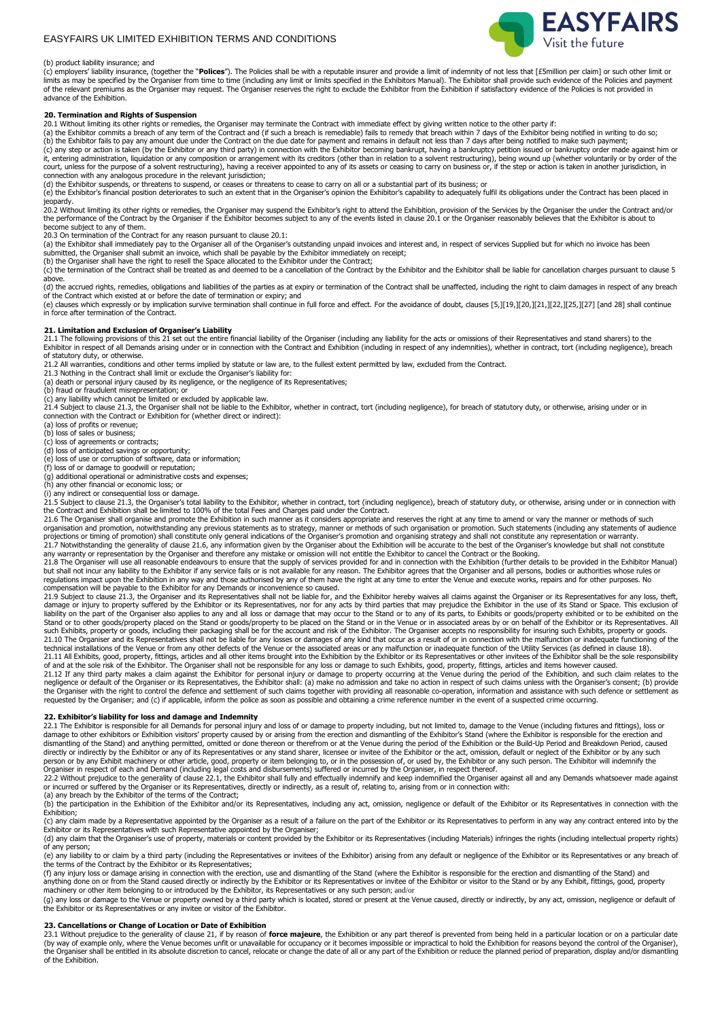

#### (b) product liability insurance; and

(c) employers' liability insurance, (together the "Polices"). The Policies shall be with a reputable insurer and provide a limit of indemnity of not less that [£5million per claim] or such other limit or limits as may be specified by the Organiser from time to time (including any limit or limits specified in the Exhibitors Manual). The Exhibitor shall provide such evidence of the Policies and payment of the relevant premiums as the Organiser may request. The Organiser reserves the right to exclude the Exhibitor from the Exhibitor if satisfactory evidence of the Policies is not provided in the Intervent of the Policies advance of the Exhibition.

#### **20. Termination and Rights of Suspension**

20.1 Without limiting its other rights or remedies, the Organiser may terminate the Contract with immediate effect by giving written notice to the other party if:

(a) the Exhibitor commits a breach of any term of the Contract and (if such a breach is remediable) fails to remedy that breach within 7 days of the Exhibitor being notified in writing to do so;<br>(b) the Exhibitor fails to it, entering administration, liquidation or any composition or arrangement with its creditors (other than in relation to a solvent restructuring), being wound up (whether voluntarily or by order of the<br>court, unless for th connection with any analogous procedure in the relevant jurisdiction;

(d) the Exhibitor suspends, or threatens to suspend, or ceases or threatens to cease to carry on all or a substantial part of its business; or

(e) the Exhibitor's financial position deteriorates to such an extent that in the Organiser's opinion the Exhibitor's capability to adequately fulfil its obligations under the Contract has been placed in

jeopardy.<br>20.2 Without limiting its other rights or remedies, the Organiser may suspend the Exhibitor's right to attend the Exhibition, provision of the Services by the Organiser the under the Contract and/or<br>the performan become subject to any of them.

20.3 On termination of the Contract for any reason pursuant to clause 20.1:

(a) the Exhibitor shall immediately pay to the Organiser all of the Organiser's outstanding unpaid invoices and interest and, in respect of services Supplied but for which no invoice has been submitted, the Organiser shall submit an invoice, which shall be payable by the Exhibitor immediately on receipt;

(b) the Organiser shall have the right to resell the Space allocated to the Exhibitor under the Contract;

 $(c)$  the termination of the Contract shall be treated as and deemed to be a cancellation of the Contract by the Exhibitor and the Exhibitor shall be liable for cancellation charges pursuant to clause 5 above.

(d) the accrued rights, remedies, obligations and liabilities of the parties as at expiry or termination of the Contract shall be unaffected, including the right to claim damages in respect of any breach of the Contract which existed at or before the date of termination or expiry; and

(e) clauses which expressly or by implication survive termination shall continue in full force and effect. For the avoidance of doubt, clauses [5,][19,][20,][21,][22,][25,][27] [and 28] shall continue in force after termination of the Contract.

21. Limitation and Exclusion of Organiser's Liability<br>21.1 The following provisions of this 21 set out the entire financial liability of the Organiser (including any liability for the acts or omissions of their Representat of statutory duty, or otherwise.

21.2 All warranties, conditions and other terms implied by statute or law are, to the fullest extent permitted by law, excluded from the Contract.<br>21.3 Nothing in the Contract shall limit or exclude the Organiser's liabili

(b) fraud or fraudulent misrepresentation; or (c) any liability which cannot be limited or excluded by applicable law.

21.4 Subject to clause 21.3, the Organiser shall not be liable to the Exhibitor, whether in contract, tort (including negligence), for breach of statutory duty, or otherwise, arising under or in

connection with the Contract or Exhibition for (whether direct or indirect):

(a) loss of profits or revenue; (b) loss of sales or business;

(c) loss of agreements or contracts;

(d) loss of anticipated savings or opportunity; (e) loss of use or corruption of software, data or information;

(f) loss of or damage to goodwill or reputation; (g) additional operational or administrative costs and expenses; (h) any other financial or economic loss; or (i) any indirect or consequential loss or damage.

21.5 Subject to clause 21.3, the Organiser's total liability to the Exhibitor, whether in contract, tort (including negligence), breach of statutory duty, or otherwise, arising under or in connection with<br>the Contract and

21.6 The Organiser shall organise and promote the Exhibition in such manner as it considers appropriate and reserves the right at any time to amend or vary the manner or methods of such organisation and promotion, notwithstanding any previous statements as to strategy, manner or methods of such organisation or promotion. Such statements (including any statements of audience<br>21.7 Notwithstanding the genera

21.8 The Organiser will use all reasonable endeavours to ensure that the supply of services provided for and in connection with the Exhibition (further details to be provided in the Exhibitor Manual)<br>but shall not incur an

regulations impact upon the Exhibition in any way and those authorised by any of them have the right at any time to enter the Venue and execute works, repairs and for other purposes. No<br>compensation will be payable to the liability on the part of the Organiser also applies to any and all loss or damage that may occur to the Stand or to any of its parts, to Exhibits or goods/property exhibited or to be exhibited on the<br>Stand or to other good such Exhibits, property or goods, including their packaging shall be for the account and risk of the Exhibitor. The Organiser accepts no responsibility for insuring such Exhibits, property or goods.<br>21.10 The Organiser and

technical installations of the Venue or from any other defects of the Venue or the associated areas or any malfunction or inadequate function of the Utility Services (as defined in clause 18).<br>21.11 All Exhibits, good, pro

of and at the sole risk of the Exhibitor. The Organiser shall not be responsible for any loss or damage to such Exhibits, good, property, fittings, articles and items however caused.<br>21.12 If any third party makes a claim the Organiser with the right to control the defence and settlement of such claims together with providing all reasonable co-operation, information and assistance with such defence or settlement as requested by the Organiser; and (c) if applicable, inform the police as soon as possible and obtaining a crime reference number in the event of a suspected crime occurring.

## **22. Exhibitor's liability for loss and damage and Indemnity**

22.1 The Exhibitor is responsible for all Demands for personal injury and loss of or damage to property including, but not limited to, damage to the Venue (including fixtures and fittings), loss or<br>dismantling of the Stand directly or indirectly by the Exhibitor or any of its Representatives or any stand sharer, licensee or invitee of the Exhibitor or the act, omission, default or neglect of the Exhibitor or by any such person or by any Exhibit machinery or other article, good, property or item belonging to, or in the possession of, or used by, the Exhibitor or any such person. The Exhibitor will indemnify the<br>Organiser in respect of each

or incurred or suffered by the Organiser or its Representatives, directly or indirectly, as a result of, relating to, arising from or in connection with: (a) any breach by the Exhibitor of the terms of the Contract;

(b) the participation in the Exhibition of the Exhibitor and/or its Representatives, including any act, omission, negligence or default of the Exhibitor or its Representatives in connection with the Exhibition;

(c) any claim made by a Representative appointed by the Organiser as a result of a failure on the part of the Exhibitor or its Representatives to perform in any way any contract entered into by the Exhibitor or its Representatives with such Representative appointed by the Organiser;<br>(d) any claim that the Organiser's use of property, materials or content provided by the Exhibitor or its Representatives (including Mat

of any person;

(e) any liability to or claim by a third party (including the Representatives or invitees of the Exhibitor) arising from any default or negligence of the Exhibitor or its Representatives or any breach of the terms of the Contract by the Exhibitor or its Representatives;<br>(f) any injury loss or damage arising in connection with the erection, use and dismantling of the Stand (where the Exhibitor is responsible for the erectio

anything done on or from the Stand caused directly or indirectly by the Exhibitor or its Representatives or invitee of the Exhibitor or visitor to the Stand or by any Exhibit, fittings, good, property<br>machinery or other it

(g) any loss or damage to the Venue or property owned by a third party which is located, stored or present at the Venue caused, directly or indirectly, by any act, omission, negligence or default of<br>the Exhibitor or its Re

#### **23. Cancellations or Change of Location or Date of Exhibition**

23.1 Without prejudice to the generality of clause 21, if by reason of **force majeure**, the Exhibition or any part thereof is prevented from being held in a particular location or on a particular date (by way of example only, where the Venue becomes unfit or unavailable for occupancy or it becomes impossible or impractical to hold the Exhibition for reasons beyond the control of the Organiser), the Organiser shall be entitled in its absolute discretion to cancel, relocate or change the date of all or any part of the Exhibition or reduce the planned period of preparation, display and/or dismantling of the Exhibition.